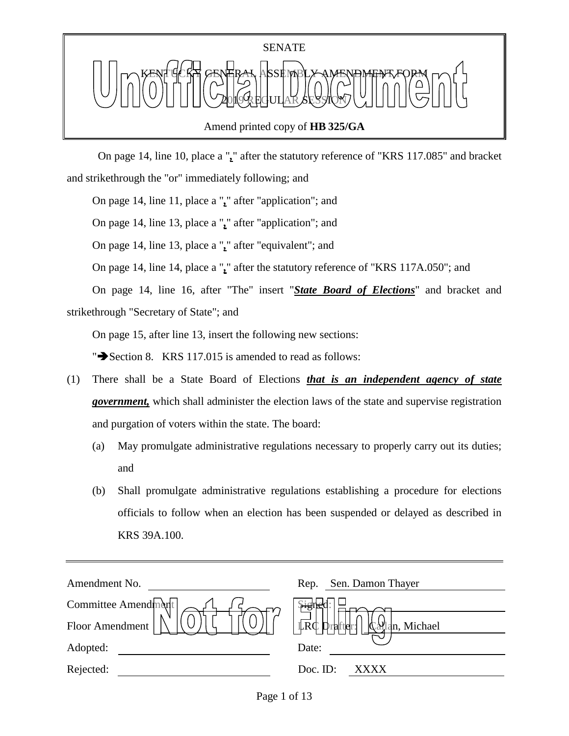

## Amend printed copy of **HB 325/GA**

 On page 14, line 10, place a "*,*" after the statutory reference of "KRS 117.085" and bracket and strikethrough the "or" immediately following; and

On page 14, line 11, place a "*,*" after "application"; and

On page 14, line 13, place a "*,*" after "application"; and

On page 14, line 13, place a "*,*" after "equivalent"; and

On page 14, line 14, place a "*,*" after the statutory reference of "KRS 117A.050"; and

On page 14, line 16, after "The" insert "*State Board of Elections*" and bracket and strikethrough "Secretary of State"; and

On page 15, after line 13, insert the following new sections:

" $\blacktriangleright$  Section 8. KRS 117.015 is amended to read as follows:

- (1) There shall be a State Board of Elections *that is an independent agency of state government,* which shall administer the election laws of the state and supervise registration and purgation of voters within the state. The board:
	- (a) May promulgate administrative regulations necessary to properly carry out its duties; and
	- (b) Shall promulgate administrative regulations establishing a procedure for elections officials to follow when an election has been suspended or delayed as described in KRS 39A.100.

| Amendment No.       | Sen. Damon Thayer<br>Rep.                          |
|---------------------|----------------------------------------------------|
| Committee Amendment | भेड                                                |
| Floor Amendment     | <b>LRC</b><br><b>्रिक्षी</b> an, Michael<br>rafter |
| Adopted:            | Date:                                              |
| Rejected:           | Doc. ID:<br>xxxx                                   |
|                     |                                                    |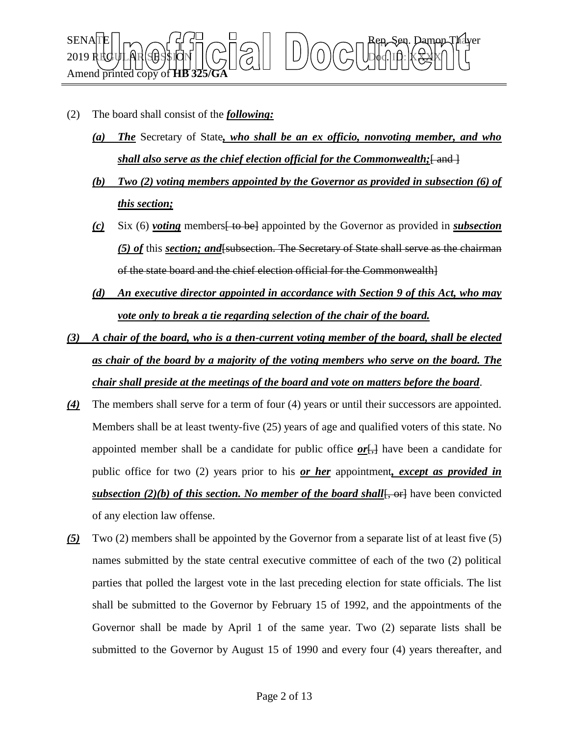

- (2) The board shall consist of the *following:*
	- *(a) The* Secretary of State*, who shall be an ex officio, nonvoting member, and who shall also serve as the chief election official for the Commonwealth*; [ and ]
	- *(b) Two (2) voting members appointed by the Governor as provided in subsection (6) of this section;*
	- *(c)* Six (6) *voting* members[ to be] appointed by the Governor as provided in *subsection (5) of* this *section; and*[subsection. The Secretary of State shall serve as the chairman of the state board and the chief election official for the Commonwealth]
	- *(d) An executive director appointed in accordance with Section 9 of this Act, who may vote only to break a tie regarding selection of the chair of the board.*
- *(3) A chair of the board, who is a then-current voting member of the board, shall be elected as chair of the board by a majority of the voting members who serve on the board. The chair shall preside at the meetings of the board and vote on matters before the board*.
- *(4)* The members shall serve for a term of four (4) years or until their successors are appointed. Members shall be at least twenty-five (25) years of age and qualified voters of this state. No appointed member shall be a candidate for public office  $or$ <sub>[,</sub>] have been a candidate for public office for two (2) years prior to his *or her* appointment*, except as provided in subsection (2)(b) of this section. No member of the board shall*[, or] have been convicted of any election law offense.
- *(5)* Two (2) members shall be appointed by the Governor from a separate list of at least five (5) names submitted by the state central executive committee of each of the two (2) political parties that polled the largest vote in the last preceding election for state officials. The list shall be submitted to the Governor by February 15 of 1992, and the appointments of the Governor shall be made by April 1 of the same year. Two (2) separate lists shall be submitted to the Governor by August 15 of 1990 and every four (4) years thereafter, and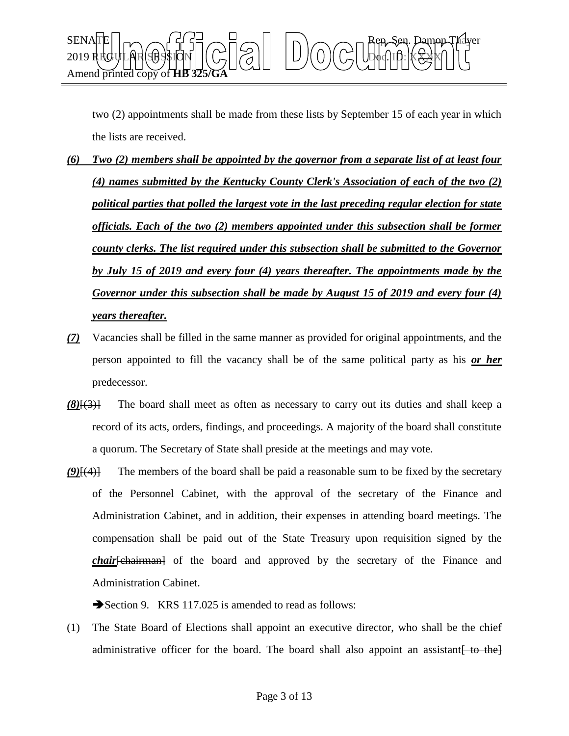

two (2) appointments shall be made from these lists by September 15 of each year in which the lists are received.

- *(6) Two (2) members shall be appointed by the governor from a separate list of at least four (4) names submitted by the Kentucky County Clerk's Association of each of the two (2) political parties that polled the largest vote in the last preceding regular election for state officials. Each of the two (2) members appointed under this subsection shall be former county clerks. The list required under this subsection shall be submitted to the Governor by July 15 of 2019 and every four (4) years thereafter. The appointments made by the Governor under this subsection shall be made by August 15 of 2019 and every four (4) years thereafter.*
- *(7)* Vacancies shall be filled in the same manner as provided for original appointments, and the person appointed to fill the vacancy shall be of the same political party as his *or her* predecessor.
- *(8)*[(3)] The board shall meet as often as necessary to carry out its duties and shall keep a record of its acts, orders, findings, and proceedings. A majority of the board shall constitute a quorum. The Secretary of State shall preside at the meetings and may vote.
- *(9)*[(4)] The members of the board shall be paid a reasonable sum to be fixed by the secretary of the Personnel Cabinet, with the approval of the secretary of the Finance and Administration Cabinet, and in addition, their expenses in attending board meetings. The compensation shall be paid out of the State Treasury upon requisition signed by the *chair*[chairman] of the board and approved by the secretary of the Finance and Administration Cabinet.

Section 9. KRS 117.025 is amended to read as follows:

(1) The State Board of Elections shall appoint an executive director, who shall be the chief administrative officer for the board. The board shall also appoint an assistant  $\left\{\right.$  to the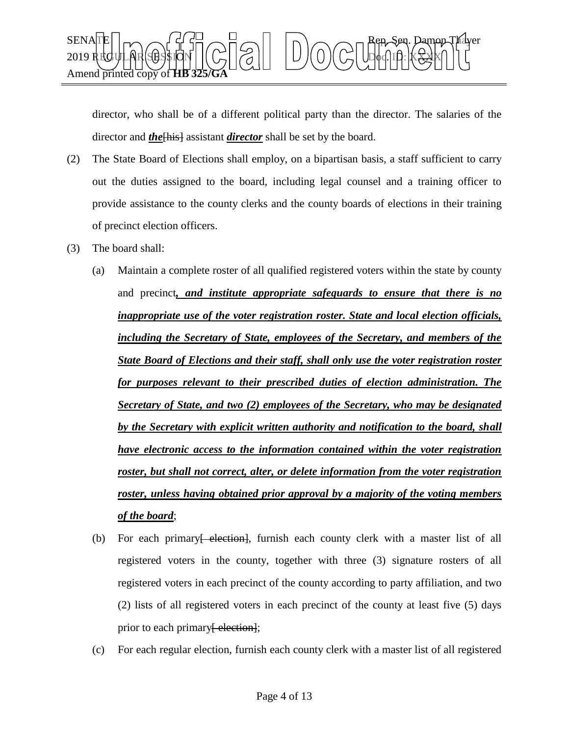

director, who shall be of a different political party than the director. The salaries of the director and *the*[his] assistant *director* shall be set by the board.

- (2) The State Board of Elections shall employ, on a bipartisan basis, a staff sufficient to carry out the duties assigned to the board, including legal counsel and a training officer to provide assistance to the county clerks and the county boards of elections in their training of precinct election officers.
- (3) The board shall:
	- (a) Maintain a complete roster of all qualified registered voters within the state by county and precinct*, and institute appropriate safeguards to ensure that there is no inappropriate use of the voter registration roster. State and local election officials, including the Secretary of State, employees of the Secretary, and members of the State Board of Elections and their staff, shall only use the voter registration roster for purposes relevant to their prescribed duties of election administration. The Secretary of State, and two (2) employees of the Secretary, who may be designated by the Secretary with explicit written authority and notification to the board, shall have electronic access to the information contained within the voter registration roster, but shall not correct, alter, or delete information from the voter registration roster, unless having obtained prior approval by a majority of the voting members of the board*;
	- (b) For each primary election, furnish each county clerk with a master list of all registered voters in the county, together with three (3) signature rosters of all registered voters in each precinct of the county according to party affiliation, and two (2) lists of all registered voters in each precinct of the county at least five (5) days prior to each primary [election];
	- (c) For each regular election, furnish each county clerk with a master list of all registered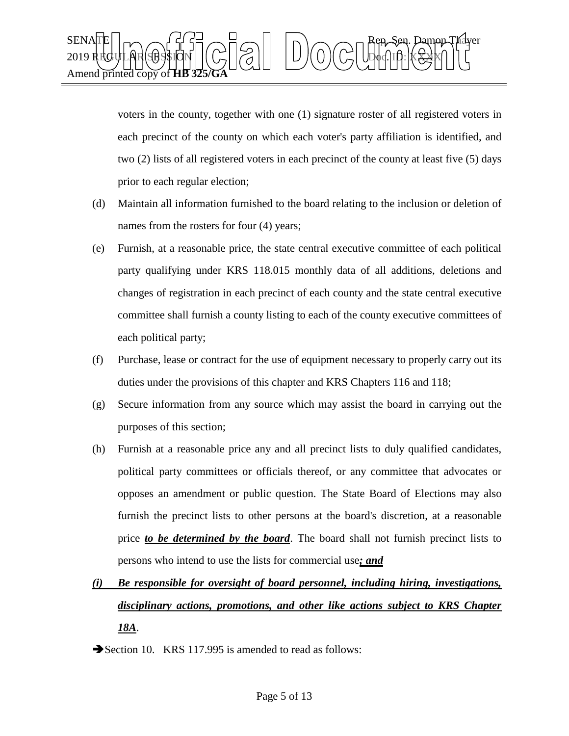

voters in the county, together with one (1) signature roster of all registered voters in each precinct of the county on which each voter's party affiliation is identified, and two (2) lists of all registered voters in each precinct of the county at least five (5) days prior to each regular election;

- (d) Maintain all information furnished to the board relating to the inclusion or deletion of names from the rosters for four  $(4)$  years;
- (e) Furnish, at a reasonable price, the state central executive committee of each political party qualifying under KRS 118.015 monthly data of all additions, deletions and changes of registration in each precinct of each county and the state central executive committee shall furnish a county listing to each of the county executive committees of each political party;
- (f) Purchase, lease or contract for the use of equipment necessary to properly carry out its duties under the provisions of this chapter and KRS Chapters 116 and 118;
- (g) Secure information from any source which may assist the board in carrying out the purposes of this section;
- (h) Furnish at a reasonable price any and all precinct lists to duly qualified candidates, political party committees or officials thereof, or any committee that advocates or opposes an amendment or public question. The State Board of Elections may also furnish the precinct lists to other persons at the board's discretion, at a reasonable price *to be determined by the board*. The board shall not furnish precinct lists to persons who intend to use the lists for commercial use*; and*

## *(i) Be responsible for oversight of board personnel, including hiring, investigations, disciplinary actions, promotions, and other like actions subject to KRS Chapter 18A*.

Section 10. KRS 117.995 is amended to read as follows: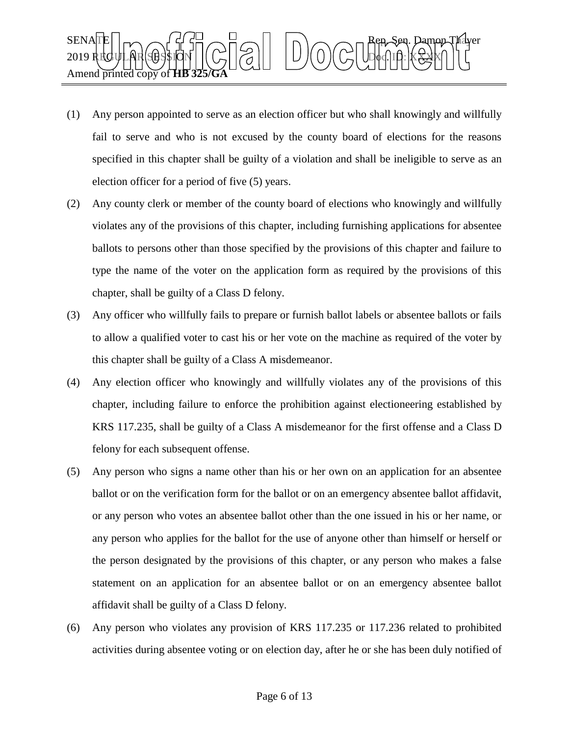

- (1) Any person appointed to serve as an election officer but who shall knowingly and willfully fail to serve and who is not excused by the county board of elections for the reasons specified in this chapter shall be guilty of a violation and shall be ineligible to serve as an election officer for a period of five (5) years.
- (2) Any county clerk or member of the county board of elections who knowingly and willfully violates any of the provisions of this chapter, including furnishing applications for absentee ballots to persons other than those specified by the provisions of this chapter and failure to type the name of the voter on the application form as required by the provisions of this chapter, shall be guilty of a Class D felony.
- (3) Any officer who willfully fails to prepare or furnish ballot labels or absentee ballots or fails to allow a qualified voter to cast his or her vote on the machine as required of the voter by this chapter shall be guilty of a Class A misdemeanor.
- (4) Any election officer who knowingly and willfully violates any of the provisions of this chapter, including failure to enforce the prohibition against electioneering established by KRS 117.235, shall be guilty of a Class A misdemeanor for the first offense and a Class D felony for each subsequent offense.
- (5) Any person who signs a name other than his or her own on an application for an absentee ballot or on the verification form for the ballot or on an emergency absentee ballot affidavit, or any person who votes an absentee ballot other than the one issued in his or her name, or any person who applies for the ballot for the use of anyone other than himself or herself or the person designated by the provisions of this chapter, or any person who makes a false statement on an application for an absentee ballot or on an emergency absentee ballot affidavit shall be guilty of a Class D felony.
- (6) Any person who violates any provision of KRS 117.235 or 117.236 related to prohibited activities during absentee voting or on election day, after he or she has been duly notified of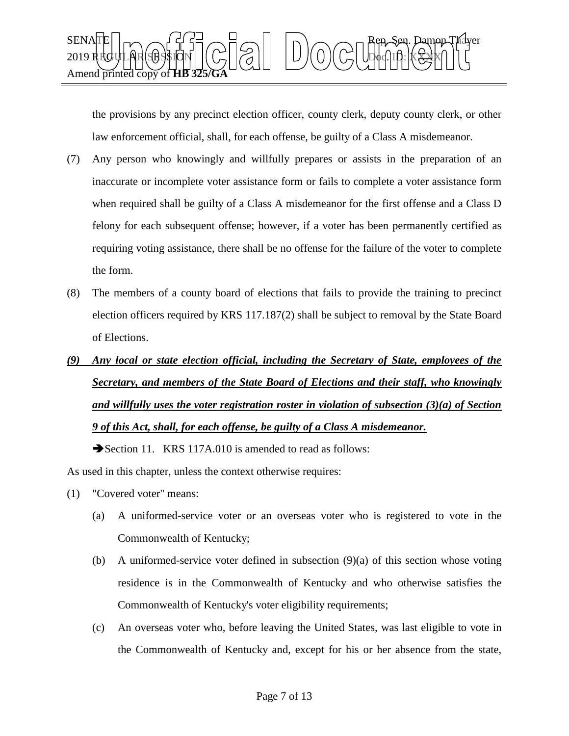

the provisions by any precinct election officer, county clerk, deputy county clerk, or other law enforcement official, shall, for each offense, be guilty of a Class A misdemeanor.

- (7) Any person who knowingly and willfully prepares or assists in the preparation of an inaccurate or incomplete voter assistance form or fails to complete a voter assistance form when required shall be guilty of a Class A misdemeanor for the first offense and a Class D felony for each subsequent offense; however, if a voter has been permanently certified as requiring voting assistance, there shall be no offense for the failure of the voter to complete the form.
- (8) The members of a county board of elections that fails to provide the training to precinct election officers required by KRS 117.187(2) shall be subject to removal by the State Board of Elections.
- *(9) Any local or state election official, including the Secretary of State, employees of the Secretary, and members of the State Board of Elections and their staff, who knowingly and willfully uses the voter registration roster in violation of subsection (3)(a) of Section 9 of this Act, shall, for each offense, be guilty of a Class A misdemeanor.*

Section 11. KRS 117A.010 is amended to read as follows:

As used in this chapter, unless the context otherwise requires:

- (1) "Covered voter" means:
	- (a) A uniformed-service voter or an overseas voter who is registered to vote in the Commonwealth of Kentucky;
	- (b) A uniformed-service voter defined in subsection (9)(a) of this section whose voting residence is in the Commonwealth of Kentucky and who otherwise satisfies the Commonwealth of Kentucky's voter eligibility requirements;
	- (c) An overseas voter who, before leaving the United States, was last eligible to vote in the Commonwealth of Kentucky and, except for his or her absence from the state,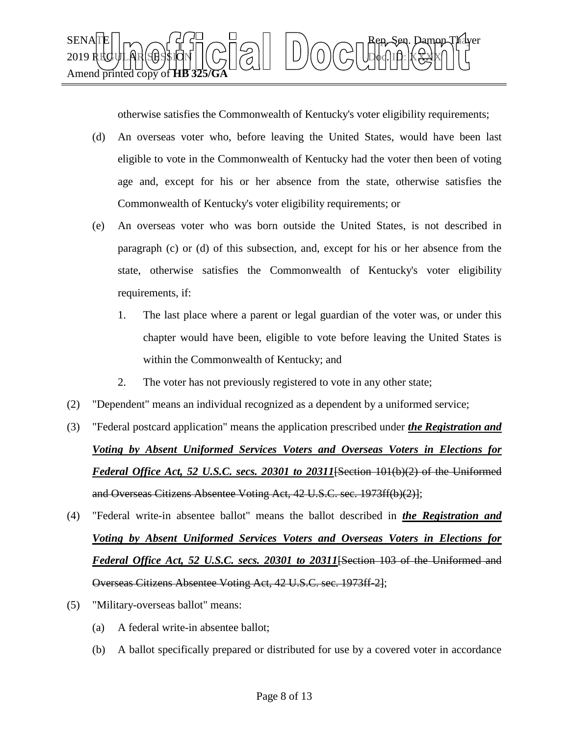

otherwise satisfies the Commonwealth of Kentucky's voter eligibility requirements;

- (d) An overseas voter who, before leaving the United States, would have been last eligible to vote in the Commonwealth of Kentucky had the voter then been of voting age and, except for his or her absence from the state, otherwise satisfies the Commonwealth of Kentucky's voter eligibility requirements; or
- (e) An overseas voter who was born outside the United States, is not described in paragraph (c) or (d) of this subsection, and, except for his or her absence from the state, otherwise satisfies the Commonwealth of Kentucky's voter eligibility requirements, if:
	- 1. The last place where a parent or legal guardian of the voter was, or under this chapter would have been, eligible to vote before leaving the United States is within the Commonwealth of Kentucky; and
	- 2. The voter has not previously registered to vote in any other state;
- (2) "Dependent" means an individual recognized as a dependent by a uniformed service;
- (3) "Federal postcard application" means the application prescribed under *the Registration and Voting by Absent Uniformed Services Voters and Overseas Voters in Elections for Federal Office Act, 52 U.S.C. secs. 20301 to 20311*[Section 101(b)(2) of the Uniformed and Overseas Citizens Absentee Voting Act, 42 U.S.C. sec. 1973ff(b)(2)];
- (4) "Federal write-in absentee ballot" means the ballot described in *the Registration and Voting by Absent Uniformed Services Voters and Overseas Voters in Elections for Federal Office Act, 52 U.S.C. secs. 20301 to 20311*[Section 103 of the Uniformed and Overseas Citizens Absentee Voting Act, 42 U.S.C. sec. 1973ff-2];
- (5) "Military-overseas ballot" means:
	- (a) A federal write-in absentee ballot;
	- (b) A ballot specifically prepared or distributed for use by a covered voter in accordance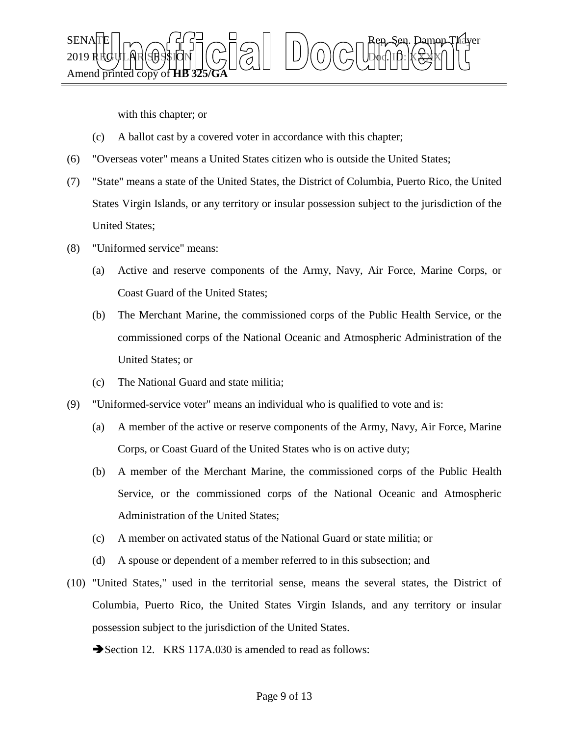

with this chapter; or

- (c) A ballot cast by a covered voter in accordance with this chapter;
- (6) "Overseas voter" means a United States citizen who is outside the United States;
- (7) "State" means a state of the United States, the District of Columbia, Puerto Rico, the United States Virgin Islands, or any territory or insular possession subject to the jurisdiction of the United States;
- (8) "Uniformed service" means:
	- (a) Active and reserve components of the Army, Navy, Air Force, Marine Corps, or Coast Guard of the United States;
	- (b) The Merchant Marine, the commissioned corps of the Public Health Service, or the commissioned corps of the National Oceanic and Atmospheric Administration of the United States; or
	- (c) The National Guard and state militia;
- (9) "Uniformed-service voter" means an individual who is qualified to vote and is:
	- (a) A member of the active or reserve components of the Army, Navy, Air Force, Marine Corps, or Coast Guard of the United States who is on active duty;
	- (b) A member of the Merchant Marine, the commissioned corps of the Public Health Service, or the commissioned corps of the National Oceanic and Atmospheric Administration of the United States;
	- (c) A member on activated status of the National Guard or state militia; or
	- (d) A spouse or dependent of a member referred to in this subsection; and
- (10) "United States," used in the territorial sense, means the several states, the District of Columbia, Puerto Rico, the United States Virgin Islands, and any territory or insular possession subject to the jurisdiction of the United States.
	- Section 12. KRS 117A.030 is amended to read as follows: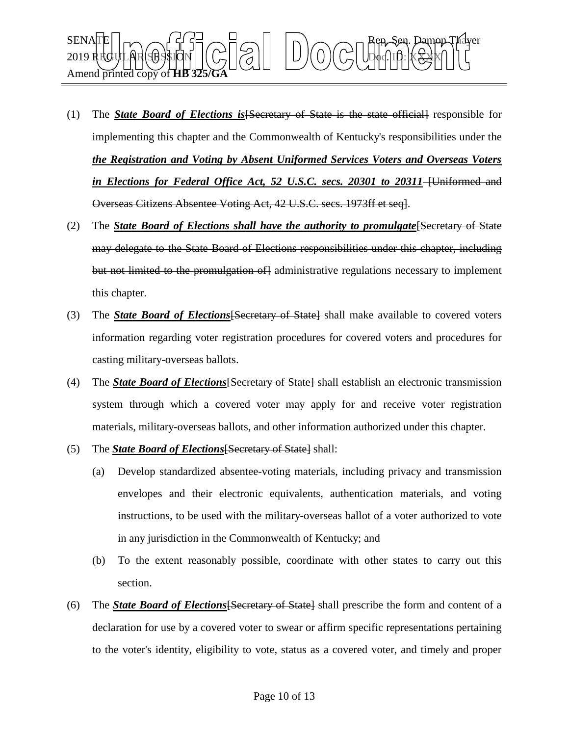

- (1) The *State Board of Elections is*[Secretary of State is the state official] responsible for implementing this chapter and the Commonwealth of Kentucky's responsibilities under the *the Registration and Voting by Absent Uniformed Services Voters and Overseas Voters in Elections for Federal Office Act, 52 U.S.C. secs. 20301 to 20311* <del>[Uniformed and</del> Overseas Citizens Absentee Voting Act, 42 U.S.C. secs. 1973ff et seq].
- (2) The *State Board of Elections shall have the authority to promulgate*[Secretary of State may delegate to the State Board of Elections responsibilities under this chapter, including but not limited to the promulgation of administrative regulations necessary to implement this chapter.
- (3) The *State Board of Elections*[Secretary of State] shall make available to covered voters information regarding voter registration procedures for covered voters and procedures for casting military-overseas ballots.
- (4) The *State Board of Elections*[Secretary of State] shall establish an electronic transmission system through which a covered voter may apply for and receive voter registration materials, military-overseas ballots, and other information authorized under this chapter.
- (5) The *State Board of Elections*[Secretary of State] shall:
	- (a) Develop standardized absentee-voting materials, including privacy and transmission envelopes and their electronic equivalents, authentication materials, and voting instructions, to be used with the military-overseas ballot of a voter authorized to vote in any jurisdiction in the Commonwealth of Kentucky; and
	- (b) To the extent reasonably possible, coordinate with other states to carry out this section.
- (6) The *State Board of Elections*[Secretary of State] shall prescribe the form and content of a declaration for use by a covered voter to swear or affirm specific representations pertaining to the voter's identity, eligibility to vote, status as a covered voter, and timely and proper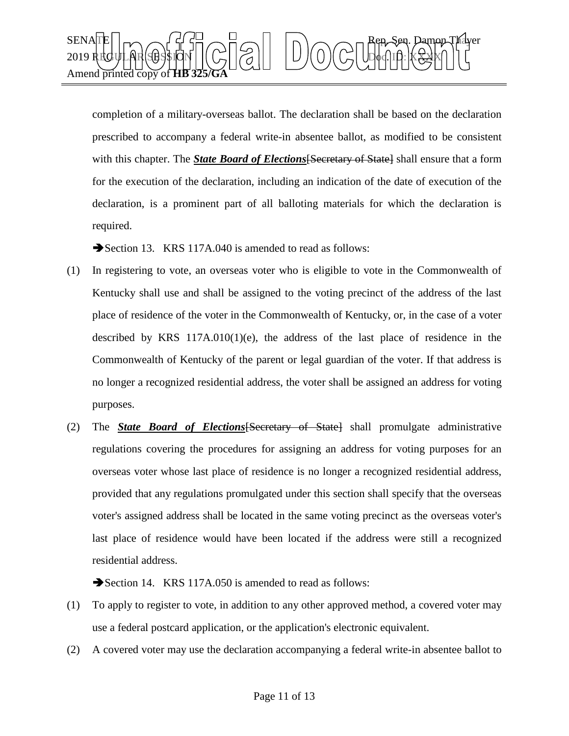

completion of a military-overseas ballot. The declaration shall be based on the declaration prescribed to accompany a federal write-in absentee ballot, as modified to be consistent with this chapter. The *State Board of Elections* [Secretary of State] shall ensure that a form for the execution of the declaration, including an indication of the date of execution of the declaration, is a prominent part of all balloting materials for which the declaration is required.

Section 13. KRS 117A.040 is amended to read as follows:

- (1) In registering to vote, an overseas voter who is eligible to vote in the Commonwealth of Kentucky shall use and shall be assigned to the voting precinct of the address of the last place of residence of the voter in the Commonwealth of Kentucky, or, in the case of a voter described by KRS  $117A.010(1)(e)$ , the address of the last place of residence in the Commonwealth of Kentucky of the parent or legal guardian of the voter. If that address is no longer a recognized residential address, the voter shall be assigned an address for voting purposes.
- (2) The *State Board of Elections*[Secretary of State] shall promulgate administrative regulations covering the procedures for assigning an address for voting purposes for an overseas voter whose last place of residence is no longer a recognized residential address, provided that any regulations promulgated under this section shall specify that the overseas voter's assigned address shall be located in the same voting precinct as the overseas voter's last place of residence would have been located if the address were still a recognized residential address.

Section 14. KRS 117A.050 is amended to read as follows:

- (1) To apply to register to vote, in addition to any other approved method, a covered voter may use a federal postcard application, or the application's electronic equivalent.
- (2) A covered voter may use the declaration accompanying a federal write-in absentee ballot to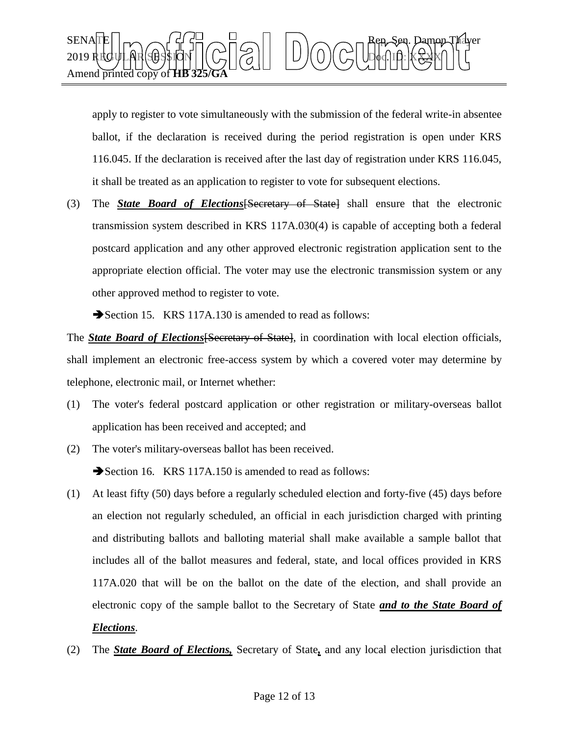

apply to register to vote simultaneously with the submission of the federal write-in absentee ballot, if the declaration is received during the period registration is open under KRS 116.045. If the declaration is received after the last day of registration under KRS 116.045, it shall be treated as an application to register to vote for subsequent elections.

(3) The *State Board of Elections*[Secretary of State] shall ensure that the electronic transmission system described in KRS 117A.030(4) is capable of accepting both a federal postcard application and any other approved electronic registration application sent to the appropriate election official. The voter may use the electronic transmission system or any other approved method to register to vote.

Section 15. KRS 117A.130 is amended to read as follows:

The *State Board of Elections* [Secretary of State], in coordination with local election officials, shall implement an electronic free-access system by which a covered voter may determine by telephone, electronic mail, or Internet whether:

- (1) The voter's federal postcard application or other registration or military-overseas ballot application has been received and accepted; and
- (2) The voter's military-overseas ballot has been received. Section 16. KRS 117A.150 is amended to read as follows:
- (1) At least fifty (50) days before a regularly scheduled election and forty-five (45) days before an election not regularly scheduled, an official in each jurisdiction charged with printing and distributing ballots and balloting material shall make available a sample ballot that includes all of the ballot measures and federal, state, and local offices provided in KRS 117A.020 that will be on the ballot on the date of the election, and shall provide an electronic copy of the sample ballot to the Secretary of State *and to the State Board of Elections*.
- (2) The *State Board of Elections,* Secretary of State*,* and any local election jurisdiction that